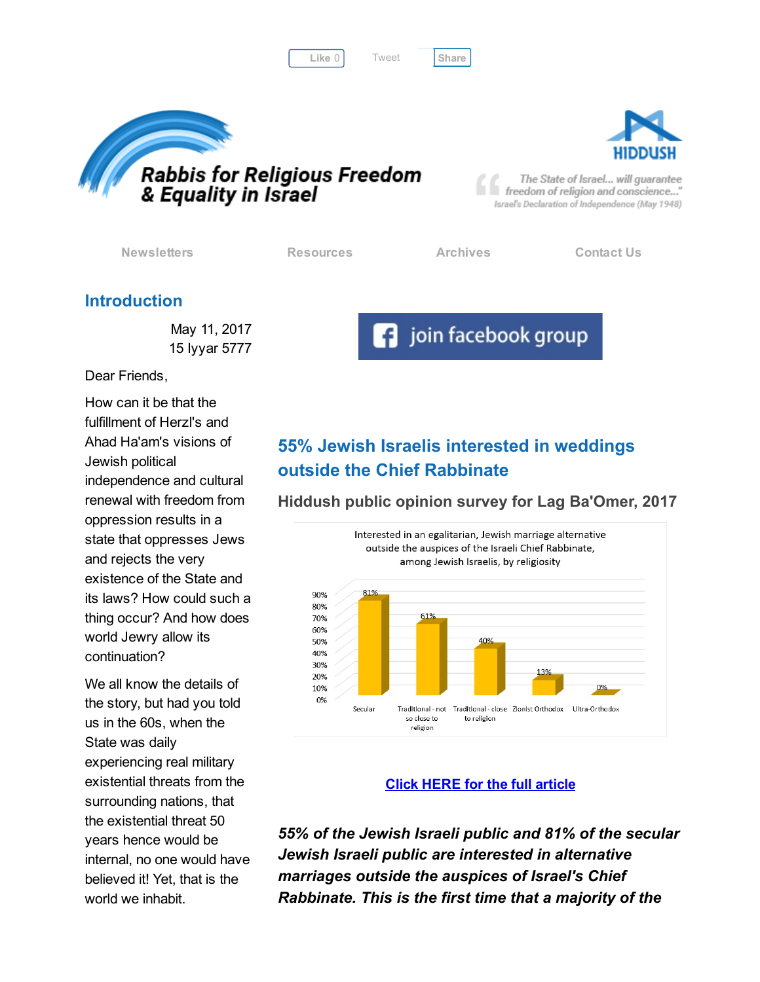Like 0 | Tweet | [Share](javascript:void(0);)



[Tweet](https://twitter.com/intent/tweet?original_referer=http%3A%2F%2Fhosted.verticalresponse.com%2F577764%2F63ce58b0b2%2F1468728015%2F325ceb4427%2F&ref_src=twsrc%5Etfw&text=Bulletin%3A%20The%20Diaspora%20community%27s%20responsibility&tw_p=tweetbutton&url=http%3A%2F%2Fhosted-p0.vresp.com%2F577764%2F63ce58b0b2%2FARCHIVE%23.WSrSGWNNwfU.twitter)





The State of Israel... will guarantee freedom of religion and conscience..." Israel's Declaration of Independence (May 1948)

[Newsletters](http://cts.vresp.com/c/?FreedomofReligionfor/63ce58b0b2/325ceb4427/4b72e79c9c) [Resources](http://cts.vresp.com/c/?FreedomofReligionfor/63ce58b0b2/325ceb4427/43ea409d0a) [Archives](http://cts.vresp.com/c/?FreedomofReligionfor/63ce58b0b2/325ceb4427/f3bd7766fa) [Contact](http://cts.vresp.com/c/?FreedomofReligionfor/63ce58b0b2/325ceb4427/7334b3f578) Us

**f** join facebook group

### Introduction

May 11, 2017 15 Iyyar 5777

Dear Friends,

How can it be that the fulfillment of Herzl's and Ahad Ha'am's visions of Jewish political independence and cultural renewal with freedom from oppression results in a state that oppresses Jews and rejects the very existence of the State and its laws? How could such a thing occur? And how does world Jewry allow its continuation?

We all know the details of the story, but had you told us in the 60s, when the State was daily experiencing real military existential threats from the surrounding nations, that the existential threat 50 years hence would be internal, no one would have believed it! Yet, that is the world we inhabit.

# 55% Jewish Israelis interested in weddings outside the Chief Rabbinate

Hiddush public opinion survey for Lag Ba'Omer, 2017



#### Click HERE for the full [article](http://cts.vresp.com/c/?FreedomofReligionfor/63ce58b0b2/325ceb4427/8d183db8d8)

55% of the Jewish Israeli public and 81% of the secular Jewish Israeli public are interested in alternative marriages outside the auspices of Israel's Chief Rabbinate. This is the first time that a majority of the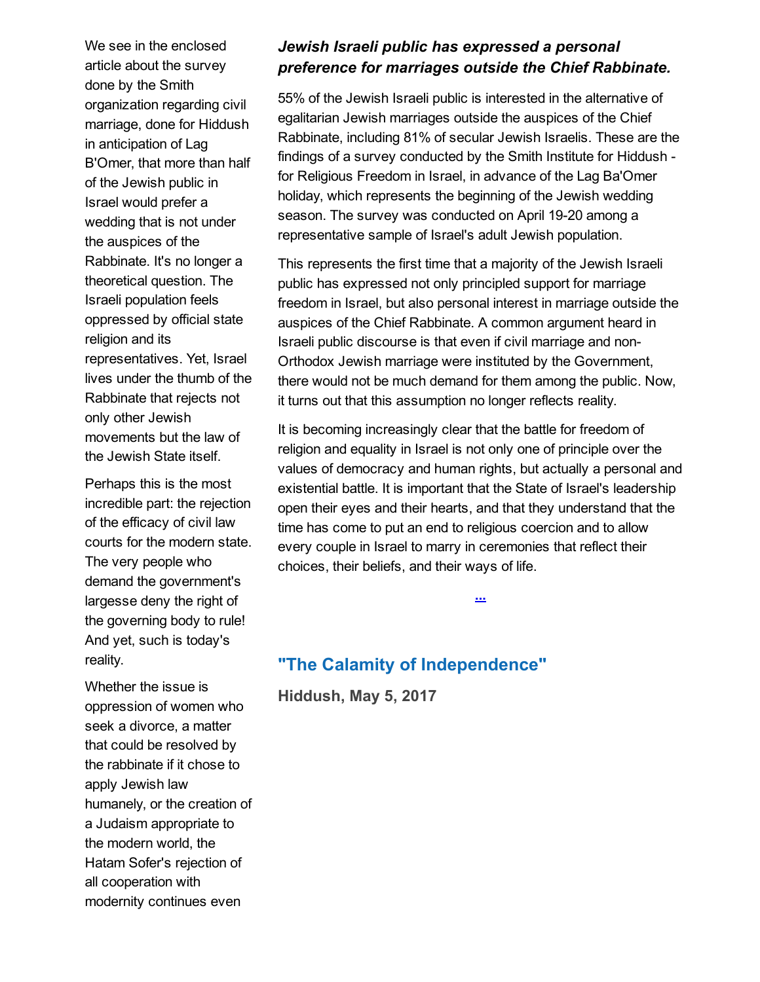We see in the enclosed article about the survey done by the Smith organization regarding civil marriage, done for Hiddush in anticipation of Lag B'Omer, that more than half of the Jewish public in Israel would prefer a wedding that is not under the auspices of the Rabbinate. It's no longer a theoretical question. The Israeli population feels oppressed by official state religion and its representatives. Yet, Israel lives under the thumb of the Rabbinate that rejects not only other Jewish movements but the law of the Jewish State itself.

Perhaps this is the most incredible part: the rejection of the efficacy of civil law courts for the modern state. The very people who demand the government's largesse deny the right of the governing body to rule! And yet, such is today's reality.

Whether the issue is oppression of women who seek a divorce, a matter that could be resolved by the rabbinate if it chose to apply Jewish law humanely, or the creation of a Judaism appropriate to the modern world, the Hatam Sofer's rejection of all cooperation with modernity continues even

### Jewish Israeli public has expressed a personal preference for marriages outside the Chief Rabbinate.

55% of the Jewish Israeli public is interested in the alternative of egalitarian Jewish marriages outside the auspices of the Chief Rabbinate, including 81% of secular Jewish Israelis. These are the findings of a survey conducted by the Smith Institute for Hiddush for Religious Freedom in Israel, in advance of the Lag Ba'Omer holiday, which represents the beginning of the Jewish wedding season. The survey was conducted on April 19-20 among a representative sample of Israel's adult Jewish population.

This represents the first time that a majority of the Jewish Israeli public has expressed not only principled support for marriage freedom in Israel, but also personal interest in marriage outside the auspices of the Chief Rabbinate. A common argument heard in Israeli public discourse is that even if civil marriage and non-Orthodox Jewish marriage were instituted by the Government, there would not be much demand for them among the public. Now, it turns out that this assumption no longer reflects reality.

It is becoming increasingly clear that the battle for freedom of religion and equality in Israel is not only one of principle over the values of democracy and human rights, but actually a personal and existential battle. It is important that the State of Israel's leadership open their eyes and their hearts, and that they understand that the time has come to put an end to religious coercion and to allow every couple in Israel to marry in ceremonies that reflect their choices, their beliefs, and their ways of life.

[...](http://cts.vresp.com/c/?FreedomofReligionfor/63ce58b0b2/325ceb4427/4323adc696)

## "The Calamity of Independence"

Hiddush, May 5, 2017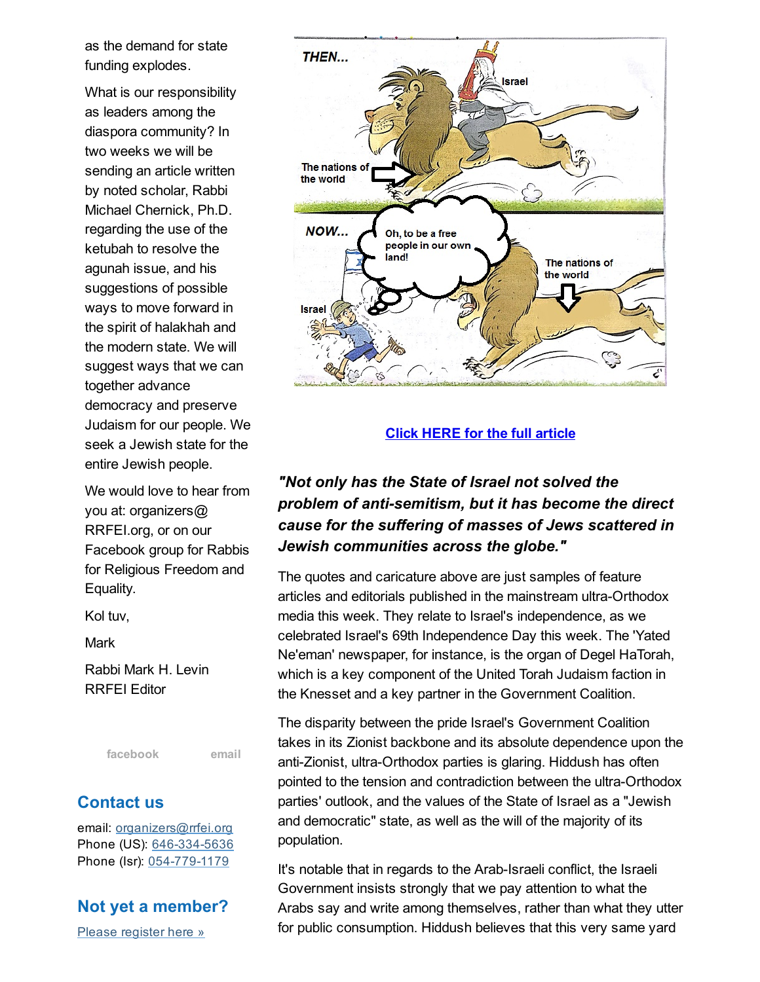as the demand for state funding explodes.

What is our responsibility as leaders among the diaspora community? In two weeks we will be sending an article written by noted scholar, Rabbi Michael Chernick, Ph.D. regarding the use of the ketubah to resolve the agunah issue, and his suggestions of possible ways to move forward in the spirit of halakhah and the modern state. We will suggest ways that we can together advance democracy and preserve Judaism for our people. We seek a Jewish state for the entire Jewish people.

We would love to hear from you at: organizers@ RRFEI.org, or on our Facebook group for Rabbis for Religious Freedom and Equality.

Kol tuv,

Mark

Rabbi Mark H. Levin RRFEI Editor

[facebook](http://cts.vresp.com/c/?FreedomofReligionfor/63ce58b0b2/325ceb4427/8351d17d78) [email](mailto:organizers@rrfei.org)

### Contact us

email: [organizers@rrfei.org](mailto:organizers@rrfei.org) Phone (US): 646-334-5636 Phone (Isr): 054-779-1179

### Not yet a member?

Please [register](http://cts.vresp.com/c/?FreedomofReligionfor/63ce58b0b2/325ceb4427/92136aff8b) here »



Click HERE for the full [article](http://cts.vresp.com/c/?FreedomofReligionfor/63ce58b0b2/325ceb4427/47e62101c5)

## "Not only has the State of Israel not solved the problem of anti-semitism, but it has become the direct cause for the suffering of masses of Jews scattered in Jewish communities across the globe."

The quotes and caricature above are just samples of feature articles and editorials published in the mainstream ultra-Orthodox media this week. They relate to Israel's independence, as we celebrated Israel's 69th Independence Day this week. The 'Yated Ne'eman' newspaper, for instance, is the organ of Degel HaTorah, which is a key component of the United Torah Judaism faction in the Knesset and a key partner in the Government Coalition.

The disparity between the pride Israel's Government Coalition takes in its Zionist backbone and its absolute dependence upon the anti-Zionist, ultra-Orthodox parties is glaring. Hiddush has often pointed to the tension and contradiction between the ultra-Orthodox parties' outlook, and the values of the State of Israel as a "Jewish and democratic" state, as well as the will of the majority of its population.

It's notable that in regards to the Arab-Israeli conflict, the Israeli Government insists strongly that we pay attention to what the Arabs say and write among themselves, rather than what they utter for public consumption. Hiddush believes that this very same yard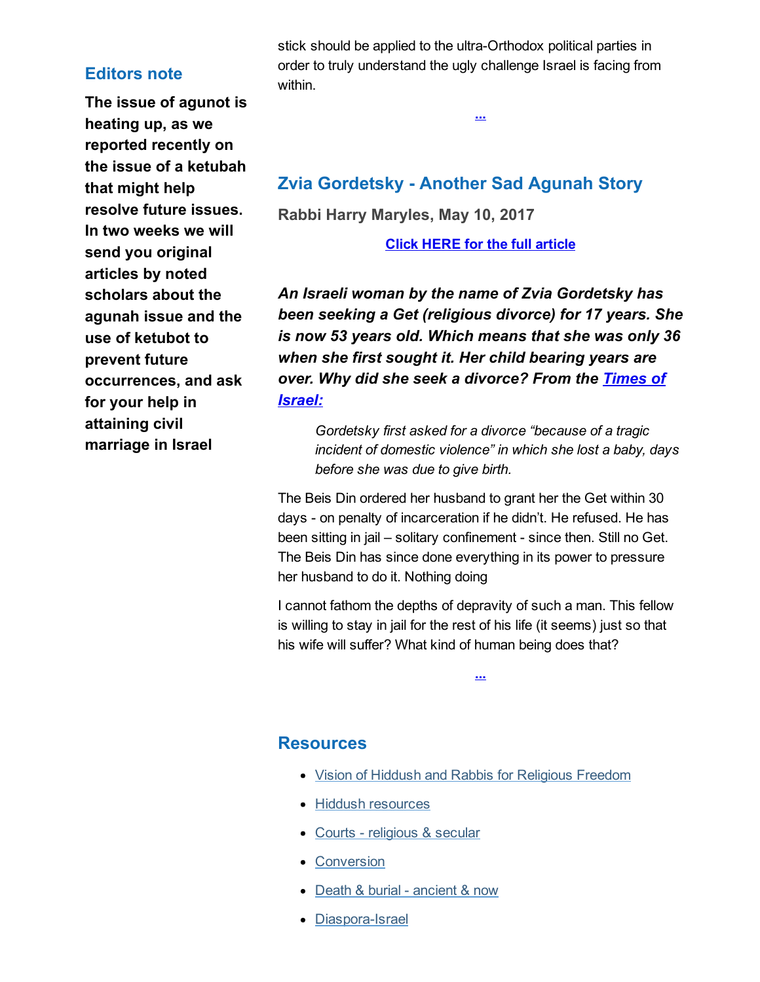#### Editors note

The issue of agunot is heating up, as we reported recently on the issue of a ketubah that might help resolve future issues. In two weeks we will send you original articles by noted scholars about the agunah issue and the use of ketubot to prevent future occurrences, and ask for your help in attaining civil marriage in Israel

stick should be applied to the ultra-Orthodox political parties in order to truly understand the ugly challenge Israel is facing from within.

[...](http://cts.vresp.com/c/?FreedomofReligionfor/63ce58b0b2/325ceb4427/4b6aed9f33)

## Zvia Gordetsky - Another Sad Agunah Story

Rabbi Harry Maryles, May 10, 2017

Click HERE for the full [article](http://cts.vresp.com/c/?FreedomofReligionfor/63ce58b0b2/325ceb4427/12b19e2216/utm_source=feedburner&utm_medium=email&utm_campaign=Feed:+blogspot/iqXuc+(Emes+Ve-Emunah))

An Israeli woman by the name of Zvia Gordetsky has been seeking a Get (religious divorce) for 17 years. She is now 53 years old. Which means that she was only 36 when she first sought it. Her child bearing years are over. Why did she seek a [divorce?](http://cts.vresp.com/c/?FreedomofReligionfor/63ce58b0b2/325ceb4427/c447ffb26c) From the Times of Israel:

Gordetsky first asked for a divorce "because of a tragic incident of domestic violence" in which she lost a baby, days before she was due to give birth.

The Beis Din ordered her husband to grant her the Get within 30 days - on penalty of incarceration if he didn't. He refused. He has been sitting in jail – solitary confinement - since then. Still no Get. The Beis Din has since done everything in its power to pressure her husband to do it. Nothing doing

I cannot fathom the depths of depravity of such a man. This fellow is willing to stay in jail for the rest of his life (it seems) just so that his wife will suffer? What kind of human being does that?

[...](http://cts.vresp.com/c/?FreedomofReligionfor/63ce58b0b2/325ceb4427/7d7e52947d)

#### **Resources**

- Vision of Hiddush and Rabbis for [Religious](http://cts.vresp.com/c/?FreedomofReligionfor/63ce58b0b2/325ceb4427/9a6f17f899) Freedom
- Hiddush [resources](http://cts.vresp.com/c/?FreedomofReligionfor/63ce58b0b2/325ceb4427/df81f8647b)
- Courts [religious](http://cts.vresp.com/c/?FreedomofReligionfor/63ce58b0b2/325ceb4427/b6ecdbc709) & secular
- [Conversion](http://cts.vresp.com/c/?FreedomofReligionfor/63ce58b0b2/325ceb4427/115a7b6000)
- Death & burial [ancient](http://cts.vresp.com/c/?FreedomofReligionfor/63ce58b0b2/325ceb4427/f72e034534) & now
- Diaspora-Israel